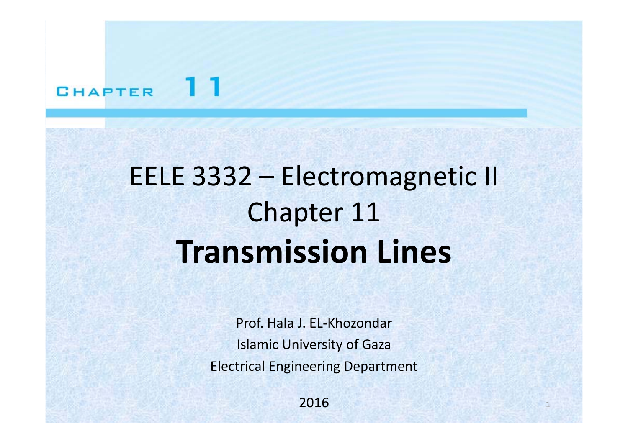#### 11 **CHAPTER**

# EELE 3332 – Electromagnetic II Chapter 11 **Transmission Lines**

Prof. Hala J. EL‐Khozondar Islamic University of Gaza Electrical Engineering Department

> 2016 $\blacksquare$  . The set of the set of the set of the set of the set of the set of the set of the set of the set of the set of the set of the set of the set of the set of the set of the set of the set of the set of the set of the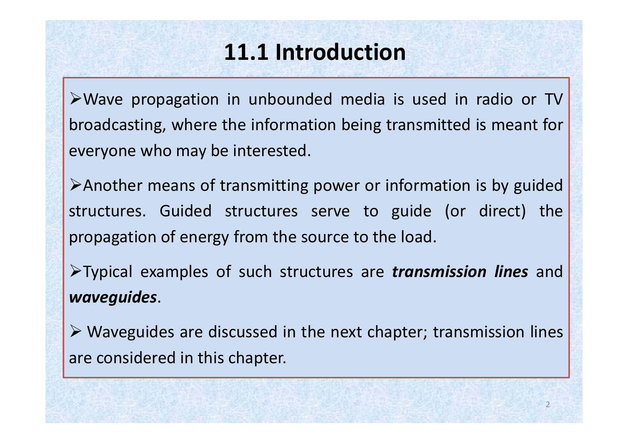# **11.1 Introduction**

Wave propagation in unbounded media is used in radio or TV broadcasting, where the information being transmitted is meant for everyone who may be interested.

Another means of transmitting power or information is by guided structures. Guided structures serve to guide (or direct) the propagation of energy from the source to the load.

Typical examples of such structures are *transmission lines* and *waveguides*.

 $\triangleright$  Waveguides are discussed in the next chapter; transmission lines are considered in this chapter.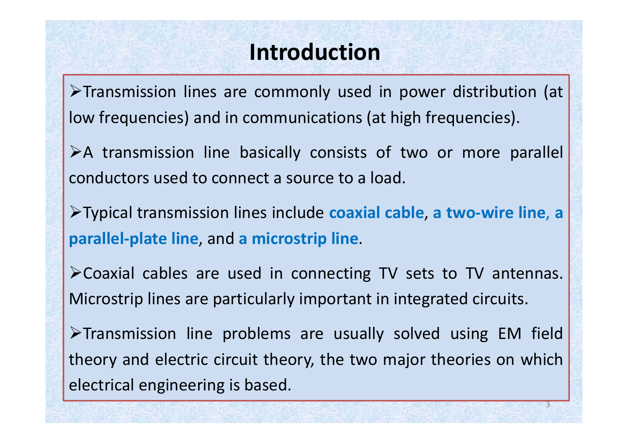#### **Introduction**

Transmission lines are commonly used in power distribution (at low frequencies) and in communications (at high frequencies).

 $\triangleright$  A transmission line basically consists of two or more parallel conductors used to connect a source to a load.

Typical transmission lines include **coaxial cable**, **<sup>a</sup> two‐wire line**, **<sup>a</sup> parallel‐plate line**, and **<sup>a</sup> microstrip line**.

Coaxial cables are used in connecting TV sets to TV antennas. Microstrip lines are particularly important in integrated circuits.

 $\triangleright$ Transmission line problems are usually solved using EM field theory and electric circuit theory, the two major theories on which electrical engineering is based.

3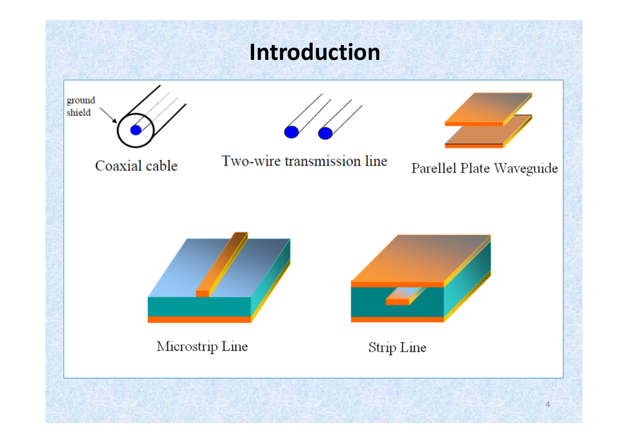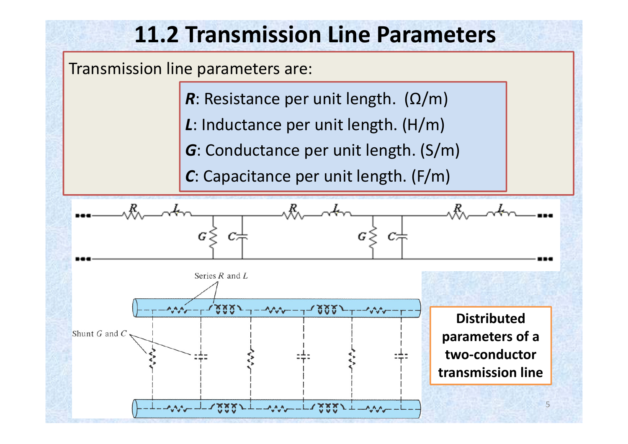### **11.2 Transmission Line Parameters**

Transmission line parameters are:

- *R*: Resistance per unit length. ( Ω/m)
- *L*: Inductance per unit length. (H/m)
- *G*: Conductance per unit length. (S/m)
- *C*: Capacitance per unit length. (F/m)

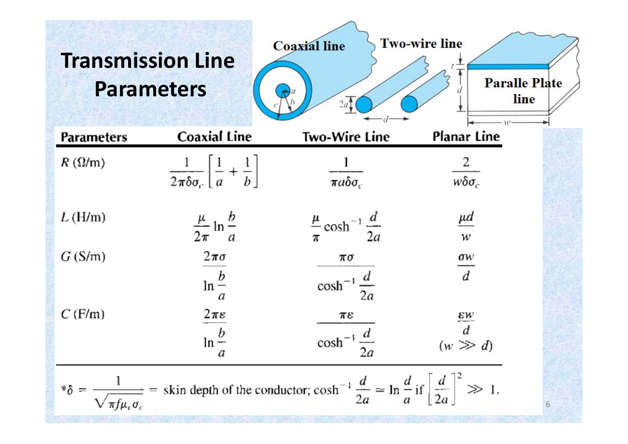#### **Trans Line Parameters**

| <b>Transmission Line</b>                                                                                                                                                                                            | <b>Parameters</b>                                                  | <b>Coaxial line</b><br>2a <sub>1</sub>    | <b>Two-wire line</b><br><b>Paralle Plate</b><br>line |
|---------------------------------------------------------------------------------------------------------------------------------------------------------------------------------------------------------------------|--------------------------------------------------------------------|-------------------------------------------|------------------------------------------------------|
| Parameters                                                                                                                                                                                                          | <b>Coaxial Line</b>                                                | <b>Two-Wire Line</b>                      | Planar Line                                          |
| $R(\Omega/m)$                                                                                                                                                                                                       | $\frac{1}{2\pi\delta\sigma_c}\left[\frac{1}{a}+\frac{1}{b}\right]$ | $\frac{1}{\pi a \delta \sigma_c}$         | $\frac{2}{w\delta\sigma_c}$                          |
| L(H/m)                                                                                                                                                                                                              | $\frac{\mu}{2\pi} \ln \frac{b}{a}$                                 | $\frac{\mu}{\pi} \cosh^{-1} \frac{d}{2a}$ | $\underline{\mu}d$<br>w                              |
| G(S/m)                                                                                                                                                                                                              | $2\pi\sigma$<br>$\ln \frac{b}{a}$                                  | πσ<br>$\cosh^{-1}\frac{d}{2a}$            | $rac{\sigma w}{d}$                                   |
| C(F/m)                                                                                                                                                                                                              | $2\pi\varepsilon$<br>$\ln \frac{b}{a}$<br>a                        | πε<br>$\cosh^{-1} \frac{d}{2a}$           | $\frac{\varepsilon w}{d}$<br>$(w \gg d)$             |
| $\frac{1}{\sqrt{\pi f \mu_c \sigma_c}}$ = skin depth of the conductor; $\cosh^{-1} \frac{d}{2a} \approx \ln \frac{d}{a} i \int \left[ \frac{d}{2a} \right]^2 \gg 1$ .<br>$*\delta =$<br>$\pi f \mu_c \sigma_c$<br>6 |                                                                    |                                           |                                                      |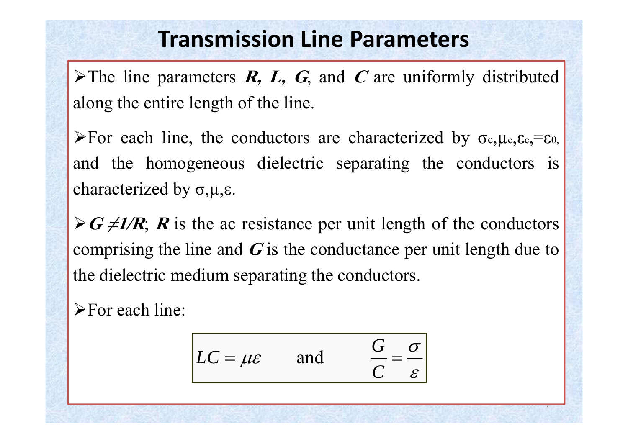#### **Transmission Line Parameters**

 $\triangleright$  The line parameters **R, L, G**, and C are uniformly distributed along the entire length of the line.

For each line, the conductors are characterized by  $\sigma_{c, \mu_{c}, \varepsilon_{c}, \varepsilon_{c}} = \varepsilon_{0}$ and the homogeneous dielectric separating the conductors is characterized by <sup>σ</sup>,µ,ε.

 $\triangleright$  **G**  $\neq$  **1/R**; **R** is the ac resistance per unit length of the conductors comprising the line and  $\boldsymbol{G}$  is the conductance per unit length due to the dielectric medium separating the conductors.

**For each line:** 

$$
LC = \mu \varepsilon \quad \text{and} \quad \frac{G}{C} = \frac{\sigma}{\varepsilon}
$$

7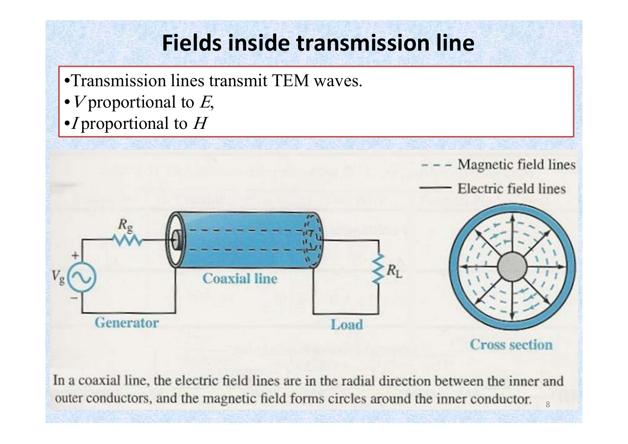# **Fields inside transmission line**

- •Transmission lines transmit TEM waves.
- $V$  proportional to  $E$ ,
- $\bullet I$  proportional to  $H$



**Cross section** 

In a coaxial line, the electric field lines are in the radial direction between the inner and outer conductors, and the magnetic field forms circles around the inner conductor.  $\overline{8}$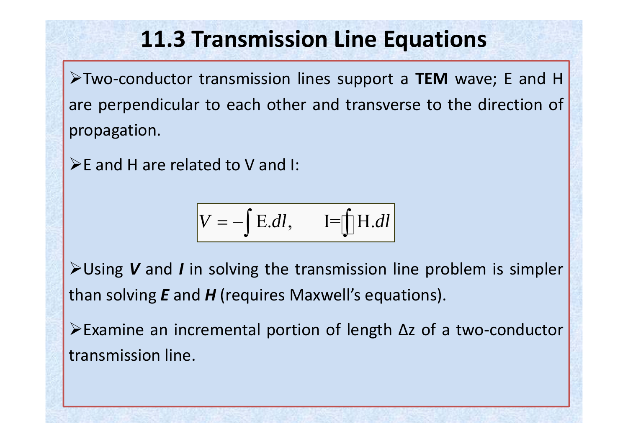Two‐conductor transmission lines support <sup>a</sup> **TEM** wave; <sup>E</sup> and <sup>H</sup> are perpendicular to each other and transverse to the direction of propagation.

 $\triangleright$  E and H are related to V and I:

$$
V = -\int E.dl, \qquad I = \int H.dl
$$

Using *<sup>V</sup>* and *<sup>I</sup>* in solving the transmission line problem is simpler than solving *E* and *H* (requires Maxwell's equations).

Examine an incremental portion of length Δ<sup>z</sup> of <sup>a</sup> two‐conductor transmission line.

9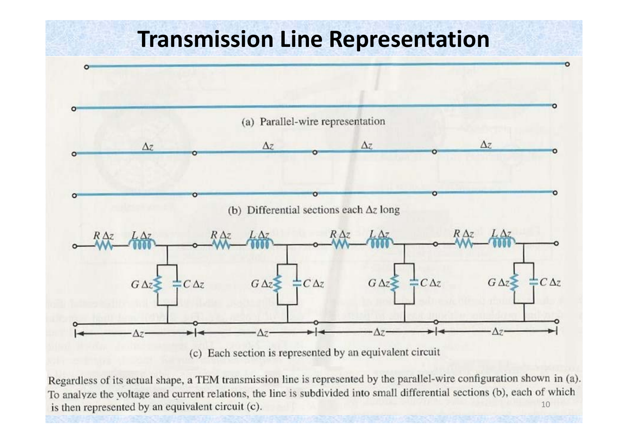#### **Transmission Line Representation**



Regardless of its actual shape, a TEM transmission line is represented by the parallel-wire configuration shown in (a). To analyze the voltage and current relations, the line is subdivided into small differential sections (b), each of which is then represented by an equivalent circuit (c). 10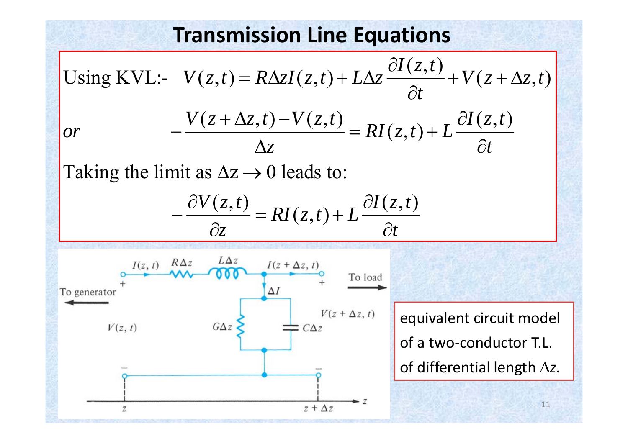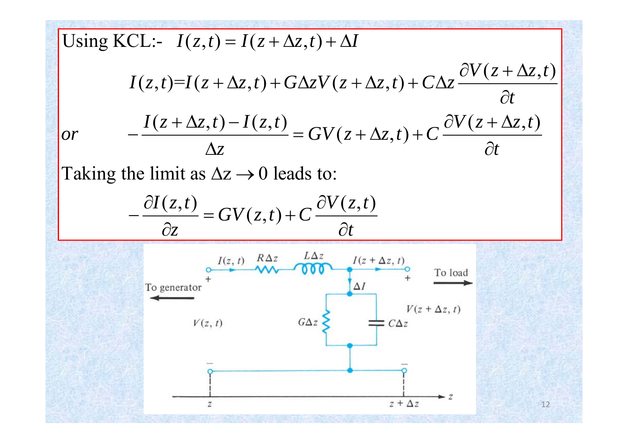Using KCL:- 
$$
I(z,t) = I(z + \Delta z, t) + \Delta I
$$
  
\n
$$
I(z,t)=I(z + \Delta z, t) + G\Delta z V(z + \Delta z, t) + C\Delta z \frac{\partial V(z + \Delta z, t)}{\partial t}
$$
\nor\n
$$
-\frac{I(z + \Delta z, t) - I(z, t)}{\Delta z} = GV(z + \Delta z, t) + C \frac{\partial V(z + \Delta z, t)}{\partial t}
$$
\nTaking the limit as  $\Delta z \rightarrow 0$  leads to:\n
$$
-\frac{\partial I(z, t)}{\partial z} = GV(z, t) + C \frac{\partial V(z, t)}{\partial t}
$$
\n
$$
T_{0 \text{ generator}} + \frac{I(z, t) - R\Delta z}{\Delta t} = \frac{L\Delta z}{\Delta t}
$$
\n
$$
T_{0 \text{ generator}} + \frac{I(z + \Delta z, t)}{\Delta t} = \frac{T_{0 \text{ load}}}{\Delta t}
$$
\n
$$
T_{0 \text{ factor}} + \frac{T_{0 \text{ load}}}{\Delta t} = \frac{T_{0 \text{ load}}}{\Delta t}
$$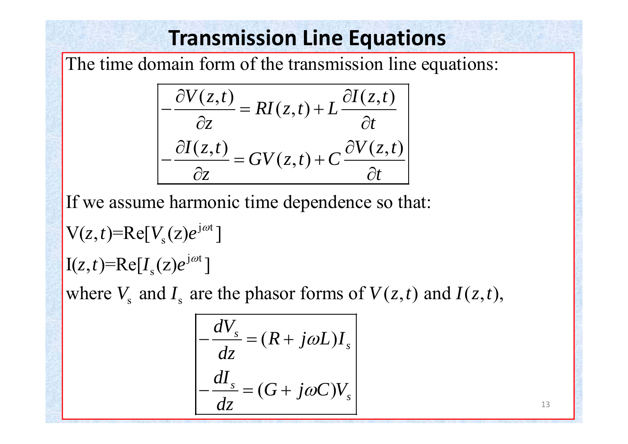The time domain form of the transmission line equations:

$$
\frac{\partial V(z,t)}{\partial z} = RI(z,t) + L \frac{\partial I(z,t)}{\partial t}
$$

$$
\frac{\partial I(z,t)}{\partial z} = GV(z,t) + C \frac{\partial V(z,t)}{\partial t}
$$

If we assume harmonic time dependence so that:

$$
V(z,t)=Re[V_s(z)e^{j\omega t}]
$$
  
\n
$$
I(z,t)=Re[I_s(z)e^{j\omega t}]
$$
  
\nwhere V and I are the phasor forms of  $V(z,t)$  and

where  $V_s$  and  $I_s$  are the phasor forms of  $V(z,t)$  and  $I(z,t)$ ,

$$
\begin{aligned}\n\frac{dV_s}{dz} &= (R + j\omega L)I_s \\
-\frac{dI_s}{dz} &= (G + j\omega C)V_s\n\end{aligned}
$$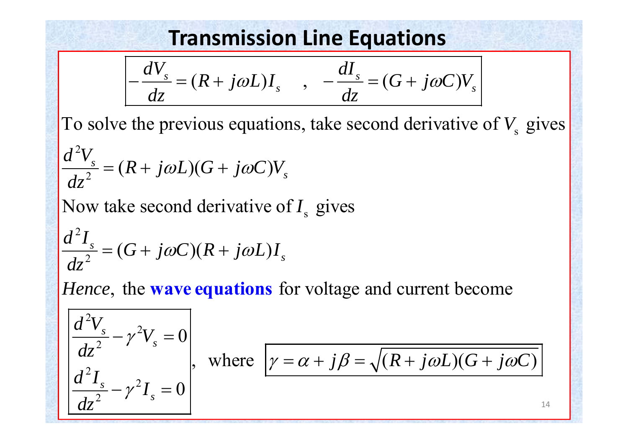$$
\frac{dV_s}{dz} = (R + j\omega L)I_s \qquad , \qquad \frac{dI_s}{dz} = (G + j\omega C)V_s
$$

To solve the previous equations, take second derivative of  $V<sub>s</sub>$  gives

$$
\frac{d^2V_s}{dz^2} = (R + j\omega L)(G + j\omega C)V_s
$$

Now take second derivative of I<sub>s</sub> gives

$$
\frac{d^2I_s}{dz^2} = (G + j\omega C)(R + j\omega L)I_s
$$

*Hence*, the **wave equations** for voltage and current become

$$
\frac{d^2V_s}{dz^2} - \gamma^2 V_s = 0
$$
\n
$$
\frac{d^2I_s}{dz^2} - \gamma^2 I_s = 0
$$

$$
\begin{vmatrix} dz^2 & \cdots & \cdots \\ d^2I & \cdots & \cdots \end{vmatrix}
$$
, where  $\gamma = \alpha + j\beta = \sqrt{(R + j\omega L)(G + j\omega C)}$ 

14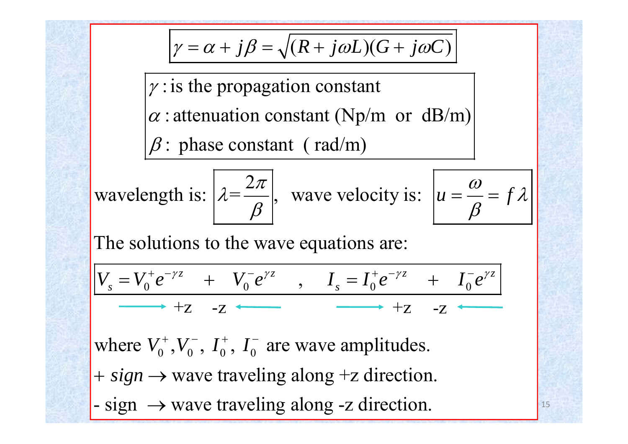$$
\gamma = \alpha + j\beta = \sqrt{(R + j\omega L)(G + j\omega C)}
$$

 $\gamma$ : is the propagation constant  $\alpha$ : attenuation constant (Np/m or dB/m)  $\beta$ : phase constant (rad/m)

wavelength is: 
$$
\left[\lambda = \frac{2\pi}{\beta}\right]
$$
, wave velocity is:  $\left[u = \frac{\omega}{\beta} = f\lambda\right]$ 

The soluti ons to the wave equations are:

$$
\left|V_s = V_0^+ e^{-\gamma z} + V_0^- e^{\gamma z} \right|, \quad I_s = I_0^+ e^{-\gamma z} + I_0^- e^{\gamma z}
$$
  
 
$$
\longrightarrow +Z -Z \longleftarrow +Z -Z \longleftarrow
$$

where  $V_0^+, V_0^-, I_0^+, I_0^-$  are wave amplitudes.  $+$  *sign*  $\rightarrow$  wave traveling along  $+z$  direction.  $-$  sign  $\rightarrow$  wave traveling along -z direction.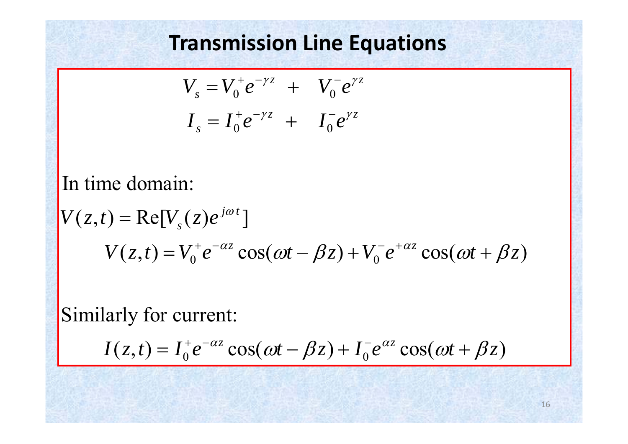$$
V_s = V_0^+ e^{-\gamma z} + V_0^- e^{\gamma z}
$$
  

$$
I_s = I_0^+ e^{-\gamma z} + I_0^- e^{\gamma z}
$$

In time domain:

$$
V(z,t) = \text{Re}[V_s(z)e^{j\omega t}]
$$
  
 
$$
V(z,t) = V_0^+e^{-\alpha z}\cos(\omega t - \beta z) + V_0^-e^{+\alpha z}\cos(\omega t + \beta z)
$$

Similarly for current:

$$
I(z,t) = I_0^+ e^{-\alpha z} \cos(\omega t - \beta z) + I_0^- e^{\alpha z} \cos(\omega t + \beta z)
$$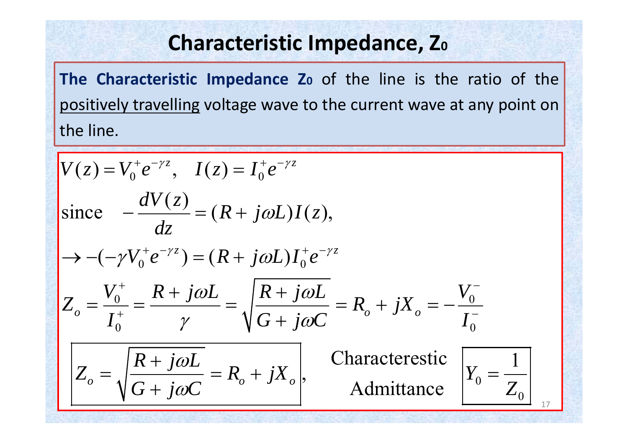#### **Characteristic Impedance, Z0**

**The Characteristic Impedance Z0** of the line is the ratio of the positively travelling voltage wave to the current wave at any point on the line.

$$
V(z) = V_0^+ e^{-\gamma z}, \quad I(z) = I_0^+ e^{-\gamma z}
$$
  
\nsince 
$$
-\frac{dV(z)}{dz} = (R + j\omega L)I(z),
$$

$$
\rightarrow -(-\gamma V_0^+ e^{-\gamma z}) = (R + j\omega L)I_0^+ e^{-\gamma z}
$$

$$
Z_o = \frac{V_0^+}{I_0^+} = \frac{R + j\omega L}{\gamma} = \sqrt{\frac{R + j\omega L}{G + j\omega C}} = R_o + jX_o = -\frac{V_0^-}{I_0^-}
$$

$$
Z_o = \sqrt{\frac{R + j\omega L}{G + j\omega C}} = R_o + jX_o,
$$
 Characteristic 
$$
Y_0 = \frac{1}{Z_0}
$$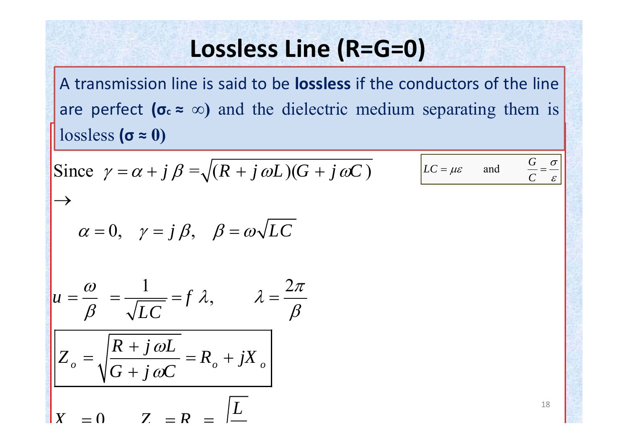# **Lossless Line (R=G=0)**

 $\int$ **lossless** ( $\sigma \approx 0$ ) A transmission line is said to be **lossless** if the conductors of the line are perfect  $(\sigma_{c} \approx \infty)$  and the dielectric medium separating them is

Since 
$$
\gamma = \alpha + j \beta = \sqrt{(R + j \omega L)(G + j \omega C)}
$$
  
\n
$$
\rightarrow \alpha = 0, \quad \gamma = j \beta, \quad \beta = \omega \sqrt{LC}
$$
\n
$$
u = \frac{\omega}{\beta} = \frac{1}{\sqrt{LC}} = f \lambda, \qquad \lambda = \frac{2\pi}{\beta}
$$
\n
$$
Z_o = \sqrt{\frac{R + j \omega L}{G + j \omega C}} = R_o + jX_o
$$
\n
$$
X = 0, \qquad Z = R = \boxed{L}
$$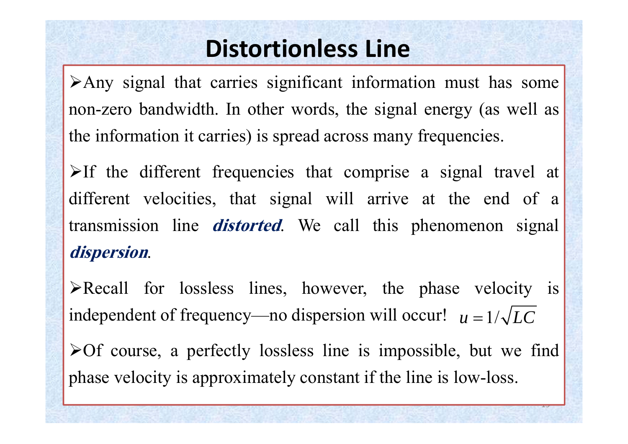# **Distortionless Line**

Any signal that carries significant information must has some non-zero bandwidth. In other words, the signal energy (as well as the information it carries) is spread across many frequencies.

 $\triangleright$ If the different frequencies that comprise a signal travel at different velocities, that signal will arrive at the end of <sup>a</sup> transmission line **distorted**. We call this phenomenon signal **dispersion**.

Recall for lossless lines, however, the phase velocity is independent of frequency—no dispersion will occur!  $u = 1/\sqrt{LC}$  $\triangleright$  Of course, a perfectly lossless line is impossible, but we find phase velocity is approximately constant if the line is low-loss.

 $\overline{ }$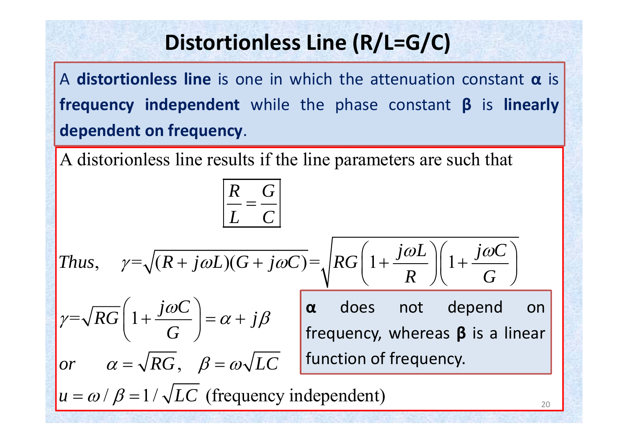## **Distortionless Line (R/L=G/C)**

A **distortionless line** is one in which the attenuation constant **α** is **frequency independent** while the phase constant **β** is **linearly dependent on frequency**.

A distorionless line results if the line parameters are such that

$$
\begin{vmatrix}\n\frac{R}{L} = \frac{G}{C} \\
\frac{R}{L} = \frac{G}{C}\n\end{vmatrix}
$$
\nThus,  $\gamma = \sqrt{(R + j\omega L)(G + j\omega C)} = \sqrt{RG \left(1 + \frac{j\omega L}{R}\right) \left(1 + \frac{j\omega C}{G}\right)}$ \n
$$
\gamma = \sqrt{RG \left(1 + \frac{j\omega C}{G}\right)} = \alpha + j\beta \quad \text{whereas } \beta \text{ is a linear frequency, whereas } \beta \text{ is a linear function of frequency.}
$$
\n
$$
u = \omega / \beta = 1 / \sqrt{LC} \text{ (frequency independent)}
$$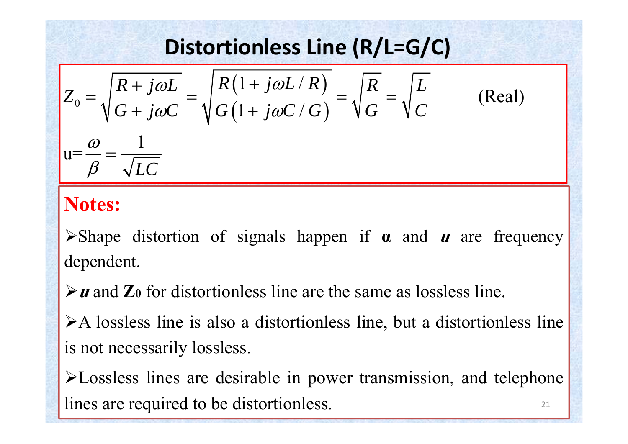# **Distortionless Line (R/L=G/C)**

$$
Z_0 = \sqrt{\frac{R + j\omega L}{G + j\omega C}} = \sqrt{\frac{R(1 + j\omega L/R)}{G(1 + j\omega C/G)}} = \sqrt{\frac{R}{G}} = \sqrt{\frac{L}{C}}
$$
 (Real)  

$$
u = \frac{\omega}{\beta} = \frac{1}{\sqrt{LC}}
$$

#### **Notes:**

Shape distortion of signals happen if **<sup>α</sup>** and **<sup>u</sup>** are frequency dependent.

**u** and **Z0** for distortionless line are the same as lossless line.

 $\triangleright$  A lossless line is also a distortionless line, but a distortionless line is not necessarily lossless.

Lossless lines are desirable in power transmission, and telephone lines are required to be distortionless.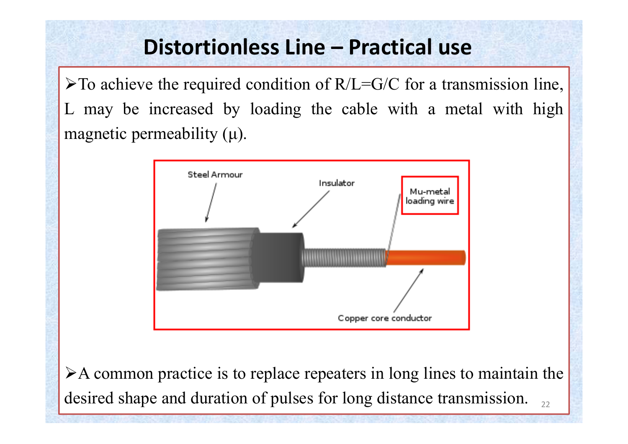#### **Distortionless Line – Practical use**

 $\triangleright$  To achieve the required condition of R/L=G/C for a transmission line, L may be increased by loading the cable with <sup>a</sup> metal with high magnetic permeability  $(\mu)$ .



 $\triangleright$  A common practice is to replace repeaters in long lines to maintain the desired shape and duration of pulses for long distance transmission.  $\frac{1}{22}$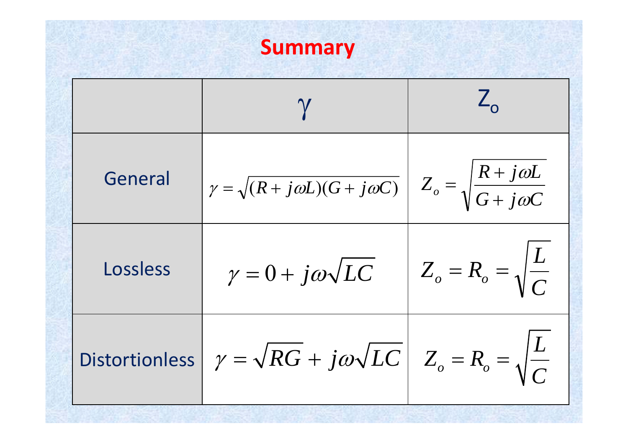

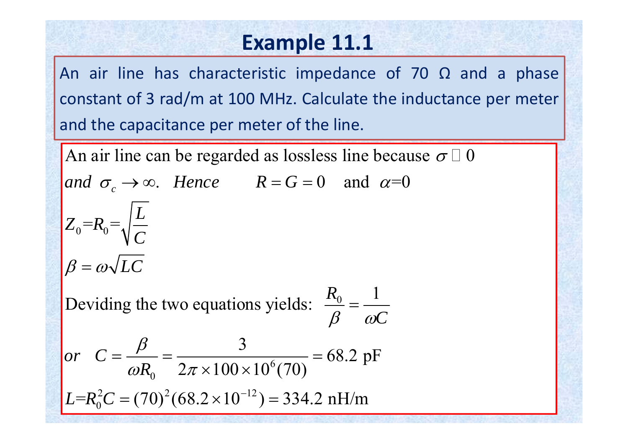#### **Example 11.1**

An air line has characteristic impedance of 70  $\Omega$  and a phase constant of 3 rad/m at 100 MHz. Calculate the inductance per meter and the capacitance per meter of the line.

An air line can be regarded as lossless line because  $\sigma \, \Box \, 0$ 

and  $\sigma_c \to \infty$ . Hence  $R = G = 0$  and  $\alpha = 0$  $\sqrt{L}$ 

$$
Z_0 = R_0 = \sqrt{\frac{E}{C}}
$$

$$
\beta = \omega \sqrt{LC}
$$

 $\frac{1}{0}$   $\frac{1}{1}$ Deviding the two equations yields:  $\frac{10}{2} = -$ *R*  $\beta$   $\omega C$ Ξ

or 
$$
C = \frac{\beta}{\omega R_0} = \frac{3}{2\pi \times 100 \times 10^6 (70)} = 68.2 \text{ pF}
$$

 $L=R_0^2C = (70)^2(68.2 \times 10^{-12}) = 334.2 \text{ nH/m}$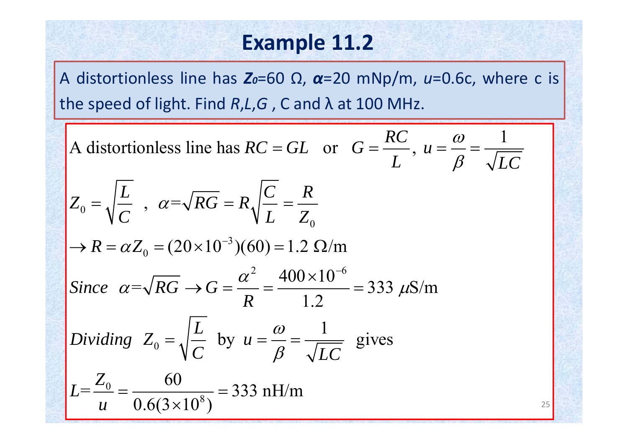#### **Example 11.2**

A distortionless line has *Z0*=60 Ω, *<sup>α</sup>*=20 mNp/m, *<sup>u</sup>*=0.6c, where <sup>c</sup> is the speed of light. Find *R*,*L*,*G* , C and λ at 100 MHz.

A distortionless line has 
$$
RC = GL
$$
 or  $G = \frac{RC}{L}$ ,  $u = \frac{\omega}{\beta} = \frac{1}{\sqrt{LC}}$   
\n $Z_0 = \sqrt{\frac{L}{C}}$ ,  $\alpha = \sqrt{RG} = R\sqrt{\frac{C}{L}} = \frac{R}{Z_0}$   
\n $\rightarrow R = \alpha Z_0 = (20 \times 10^{-3})(60) = 1.2 \Omega/m$   
\nSince  $\alpha = \sqrt{RG} \rightarrow G = \frac{\alpha^2}{R} = \frac{400 \times 10^{-6}}{1.2} = 333 \mu\text{S/m}$   
\nDividing  $Z_0 = \sqrt{\frac{L}{C}}$  by  $u = \frac{\omega}{\beta} = \frac{1}{\sqrt{LC}}$  gives  
\n $L = \frac{Z_0}{u} = \frac{60}{0.6(3 \times 10^8)} = 333 \text{ nH/m}$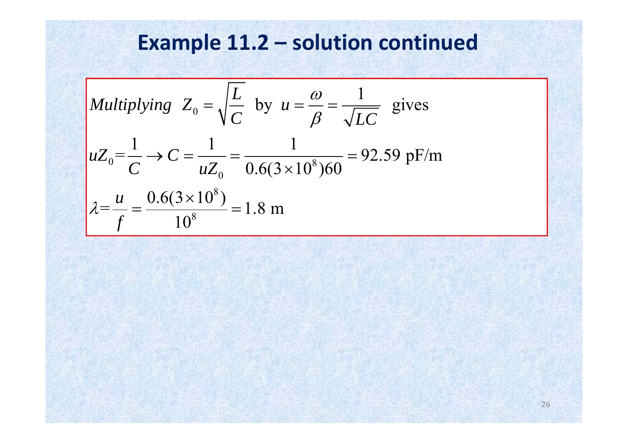# **Example 11.2 – solution continued**

Multiplying 
$$
Z_0 = \sqrt{\frac{L}{C}}
$$
 by  $u = \frac{\omega}{\beta} = \frac{1}{\sqrt{LC}}$  gives  
\n $uZ_0 = \frac{1}{C} \rightarrow C = \frac{1}{uZ_0} = \frac{1}{0.6(3 \times 10^8)60} = 92.59 \text{ pF/m}$   
\n $\lambda = \frac{u}{f} = \frac{0.6(3 \times 10^8)}{10^8} = 1.8 \text{ m}$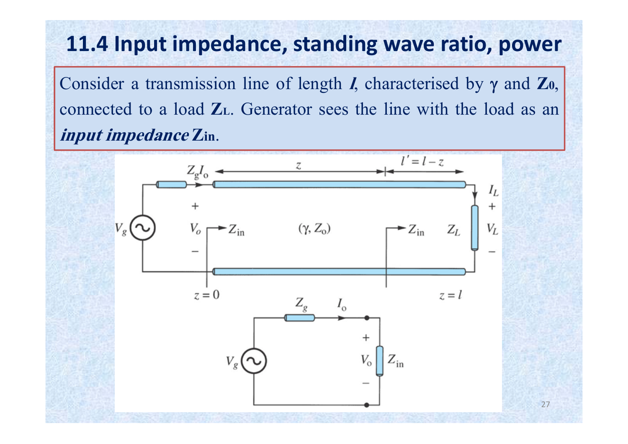### **11.4 Input impedance, standing wave ratio, power**

Consider a transmission line of length  $I$ , characterised by  $\gamma$  and  $\mathbb{Z}_0$ , connected to <sup>a</sup> load **ZL**. Generator sees the line with the load as an **input impedance Zin**.

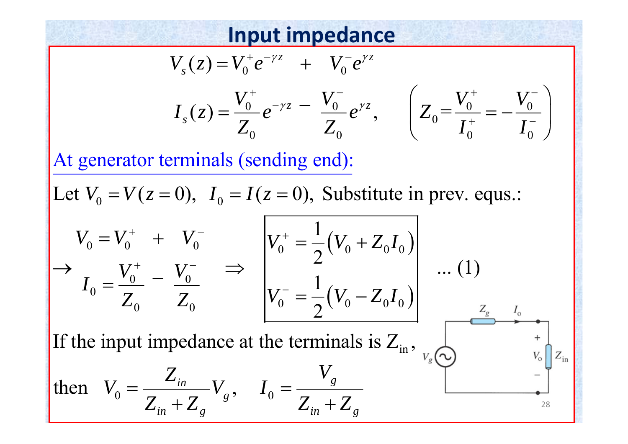#### **Input impedance**

$$
V_s(z) = V_0^+ e^{-\gamma z} + V_0^- e^{\gamma z}
$$
  

$$
I_s(z) = \frac{V_0^+}{Z_0} e^{-\gamma z} - \frac{V_0^-}{Z_0} e^{\gamma z}, \qquad \left(Z_0 = \frac{V_0^+}{I_0^+} = -\frac{V_0^-}{I_0^-}\right)
$$

At generator terminals (sen ding en d):

Let  $V_0 = V(z = 0)$ ,  $I_0 = I(z = 0)$ , Substitute in prev. equs.:

$$
V_0 = V_0^+ + V_0^-
$$
  
\n
$$
I_0 = \frac{V_0^+}{Z_0} - \frac{V_0^-}{Z_0} \implies \begin{vmatrix} V_0^+ = \frac{1}{2}(V_0 + Z_0 I_0) \\ V_0^- = \frac{1}{2}(V_0 - Z_0 I_0) \\ V_0^- = \frac{1}{2}(V_0 - Z_0 I_0) \end{vmatrix}
$$
...(1)  
\nIf the input impedance at the terminals is  $Z_{\text{in}}$ ,  
\nthen  $V_0 = \frac{Z_{\text{in}}}{Z_{\text{in}} + Z_{\text{g}}}$ ,  $I_0 = \frac{V_g}{Z_{\text{in}} + Z_g}$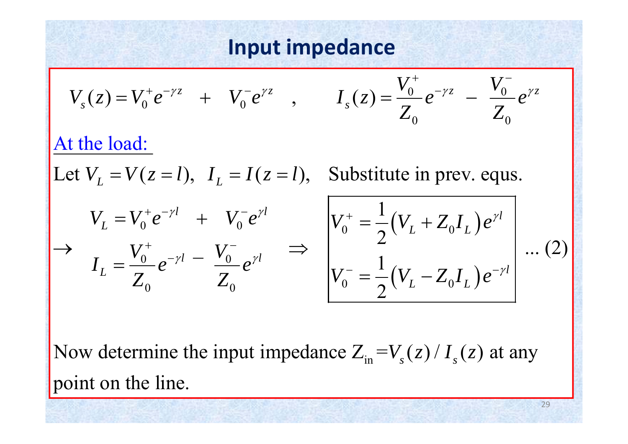#### **Input impedance**

$$
V_s(z) = V_0^+ e^{-\gamma z} + V_0^- e^{\gamma z}, \t I_s(z) = \frac{V_0^+}{Z_0} e^{-\gamma z} - \frac{V_0^-}{Z_0} e^{\gamma z}
$$
  
At the load:  
Let  $V_L = V(z = l)$ ,  $I_L = I(z = l)$ , Substitute in prev. equals.  

$$
V_L = V_0^+ e^{-\gamma l} + V_0^- e^{\gamma l}
$$

$$
V_0^+ = \frac{1}{2} (V_L + Z_0 I_L) e^{\gamma l}
$$

$$
I_L = \frac{V_0^+}{Z_0} e^{-\gamma l} - \frac{V_0^-}{Z_0} e^{\gamma l} \implies V_0^- = \frac{1}{2} (V_L - Z_0 I_L) e^{-\gamma l}
$$
...(2)

Now determine the input impedance  $Z_{in} = V_s(z) / I_s(z)$  at any point on the line.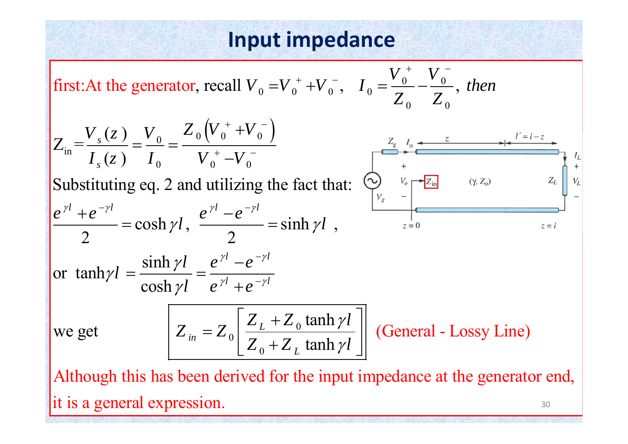#### **Input impedance**

first: At the generator, recall 
$$
V_0 = V_0^+ + V_0^-
$$
,  $I_0 = \frac{V_0^+}{Z_0} - \frac{V_0^-}{Z_0}$ , then  
\n
$$
Z_{in} = \frac{V_s(z)}{I_s(z)} = \frac{V_0}{I_0} = \frac{Z_0 (V_0^+ + V_0^-)}{V_0^+ - V_0^-}
$$
\nSubstituting eq. 2 and utilizing the fact that:  
\n
$$
\frac{V_s}{V_s} = \frac{V_0}{V_0} = \frac{Z_s}{V_0} = \frac{Z_s}{V_0} = \frac{Z_s}{V_0}
$$
\n
$$
\frac{V_s}{V_s} = \frac{Z_s}{V_s}
$$
\n
$$
\frac{V_s}{V_s} = \frac{Z_s}{V_s}
$$
\n
$$
\frac{V_s}{V_s} = \frac{Z_s}{V_s}
$$
\n
$$
\frac{V_s}{V_s} = \frac{V_s}{V_s}
$$
\n
$$
\frac{V_s}{V_s} = \frac{V_s}{V_s}
$$
\n
$$
\frac{V_s}{V_s} = \frac{V_s}{V_s}
$$
\n
$$
\frac{V_s}{V_s} = \frac{V_s}{V_s}
$$
\n
$$
\frac{V_s}{V_s} = \frac{V_s}{V_s}
$$
\n
$$
\frac{V_s}{V_s} = \frac{V_s}{V_s}
$$
\n
$$
\frac{V_s}{V_s} = \frac{V_s}{V_s}
$$
\n
$$
\frac{V_s}{V_s} = \frac{V_s}{V_s}
$$
\n
$$
\frac{V_s}{V_s} = \frac{V_s}{V_s}
$$
\n
$$
\frac{V_s}{V_s} = \frac{V_s}{V_s}
$$
\n
$$
\frac{V_s}{V_s} = \frac{V_s}{V_s}
$$
\n
$$
\frac{V_s}{V_s} = \frac{V_s}{V_s}
$$
\n
$$
\frac{V_s}{V_s} = \frac{V_s}{V_s}
$$
\n
$$
\frac{V_s}{V_s} = \frac{V_s}{V_s}
$$
\n
$$
\frac{V_s}{V_s} = \frac{V_s}{V_s}
$$
\n
$$
\frac{V_s}{V_s} = \frac{V_s}{V_s}
$$
\n
$$
\frac{V_s}{V_s} = \frac{V_s}{V_s}
$$
\n
$$
\frac{V_s}{V_s}
$$

Although this has been derived for the input impedance at the generator end ,  $\left|$  it is a general expression.  $\frac{30}{20}$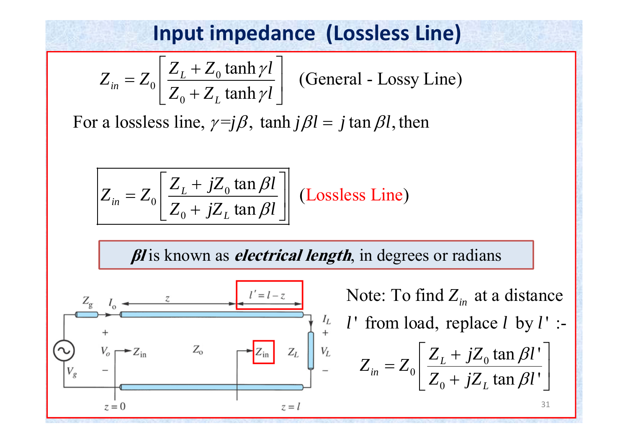#### **Input impedance (Lossless Line)**

$$
Z_{in} = Z_0 \left[ \frac{Z_L + Z_0 \tanh \gamma l}{Z_0 + Z_L \tanh \gamma l} \right]
$$

(General - Lossy Line)

For a lossless line,  $\gamma = j\beta$ ,  $\tanh j\beta l = j\tan \beta l$ , then



*βl* is known as *electrical length*, in degrees or radians

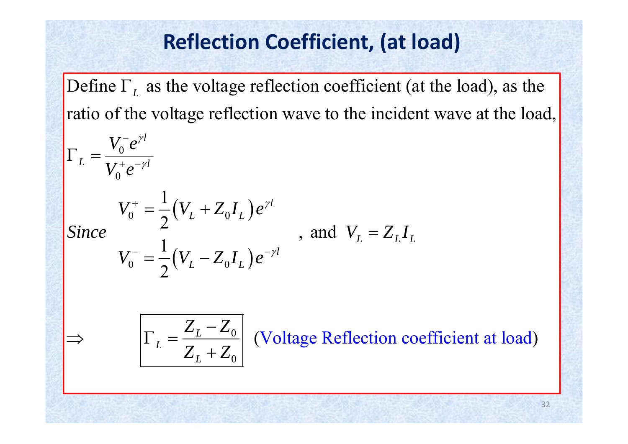#### **Reflection Coefficient, (at load)**

Define  $\Gamma_L$  as the voltage reflection coefficient (at the load), as the ratio of the voltage reflection wave to the incident wave at the load,

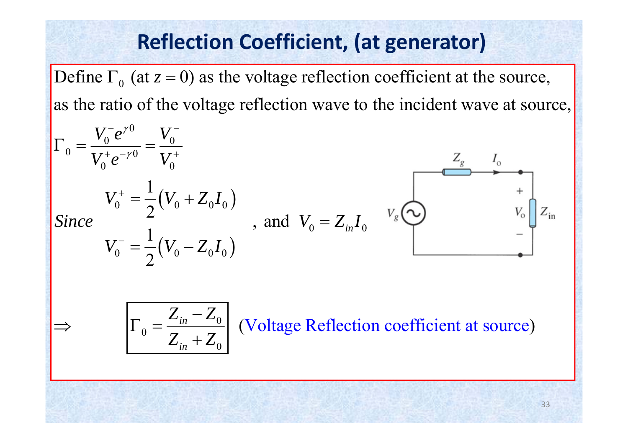### **Reflection Coefficient, (at generator)**

Define  $\Gamma_0$  (at  $z = 0$ ) as the voltage reflection coefficient at the source, as the ratio of the voltage reflection wave to the incident wave at source,

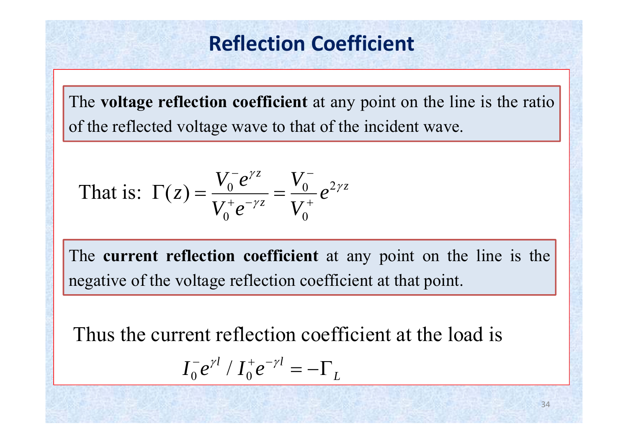#### **Reflection Coefficient**

The **voltage reflection coefficient** at any point on the line is the ratio of the reflected voltage wave to that of the incident wave.

That is: 
$$
\Gamma(z) = \frac{V_0^- e^{\gamma z}}{V_0^+ e^{-\gamma z}} = \frac{V_0^-}{V_0^+} e^{2\gamma z}
$$

The **current reflection coefficient** at any point on the line is the negative of the voltage reflection coefficient at that point.

Thus the current reflection coefficient at the load is

$$
I_0^- e^{\gamma l} / I_0^+ e^{-\gamma l} = -\Gamma_L
$$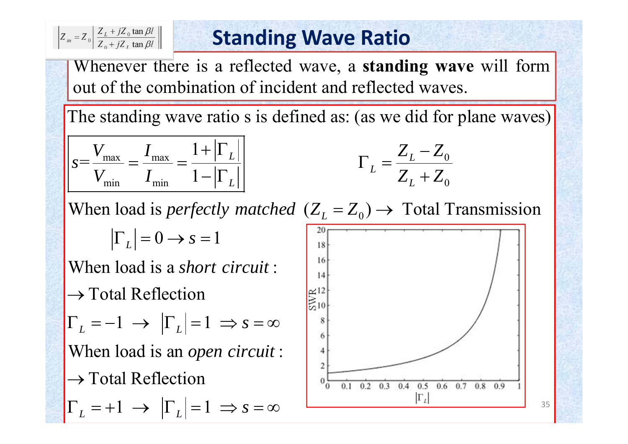$$
Z_{in} = Z_0 \left| \frac{Z_L + jZ_0 \tan \beta l}{Z_0 + jZ_L \tan \beta l} \right|
$$

#### **Standing Wave Ratio**

Whenever there is <sup>a</sup> reflected wave, <sup>a</sup> **standing wave** will form out of the combination of incident and reflected waves.

The standing wave ratio s is defined as: (as we did for plane waves)

$$
S = \frac{V_{\text{max}}}{V_{\text{min}}} = \frac{I_{\text{max}}}{I_{\text{min}}} = \frac{1 + |\Gamma_L|}{1 - |\Gamma_L|}
$$
\n
$$
\Gamma_L = \frac{Z_L - Z_0}{Z_L + Z_0}
$$

$$
\frac{+|\Gamma_L|}{-|\Gamma_L|}\qquad \qquad \Gamma_L = \frac{Z_L - Z_0}{Z_L + Z_0}
$$

When load is *perfectly matched*  $(Z_L = Z_0) \rightarrow$  Total Transmission

 $|\Gamma_L|=0 \rightarrow s=1$ 

**When load is a** *short circuit*:  $\rightarrow$  Total Reflection  $\Gamma_L = -1 \rightarrow |\Gamma_L| = 1 \Rightarrow s = \infty$ When load is an *open circuit*:  $\rightarrow$  Total Reflection

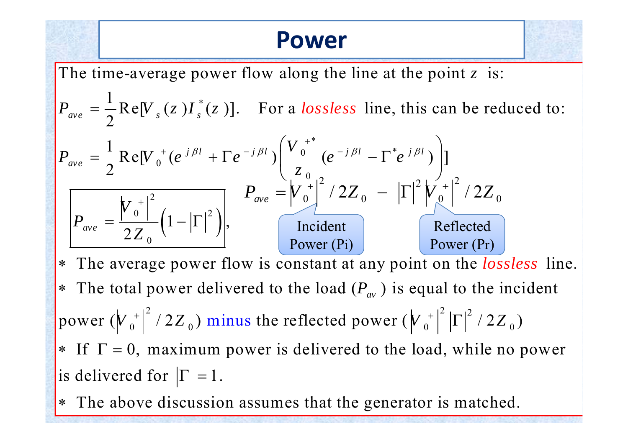### **Power**



The time-average power flow along the line at the point  $z$  is:

 $\frac{1}{\rho}$   $\frac{1}{\rho}$   $\frac{1}{\rho}$  $\frac{1}{2}$ Re[V  $_s$  (z )] $I_s^*(z)$ ]. For a lossless line, this can be reduced to:  $P_{ave} = -\frac{1}{2}Re[V_s(z)I_s^*(z)].$  For a lossless



2 power ( $\left|V_{0}^{+}\right|$  /2Z<sub>0</sub>) minus the \* The average power flow is constant at any point on the *lossless* line. \* The total power delivered to the load  $(P_{av})$  is equal to the incident  $\left(\sqrt{\frac{1}{2}}\right)^2$  / 2Z<sub>0</sub>) minus the reflected power  $\left(\sqrt{\frac{1}{2}}\right)^2 |\Gamma|^2$  / 2Z<sub>0</sub>)  $*$  If  $\Gamma = 0$ , maximum power is delivered to the load, while no power is delivered for  $|\Gamma|=1$ .

 The above discussion assumes that the generator is matched. ∗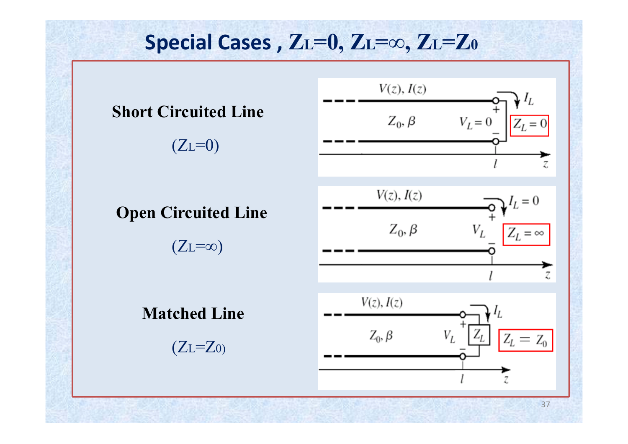#### **Special Cases , ZL=0, ZL=<sup>∞</sup>, ZL=Z0** $V(z)$ ,  $I(z)$ **Short Circuited Line**  $Z_0, \beta$  $V_L = 0$  $Z_L = 0$  $(ZL=0)$ Z  $V(z)$ ,  $I(z)$  $I_L = 0$ **Open Circuited Line**  $Z_0, \beta$  $V_L$  $Z_L = \infty$  $(Z_L=\infty)$ Z.  $V(z)$ ,  $I(z)$ **Matched Line**

 $Z_0, \beta$ 

 $V_I$ 

 $(ZL=Z_0)$ 

37

 $Z_L = Z_0$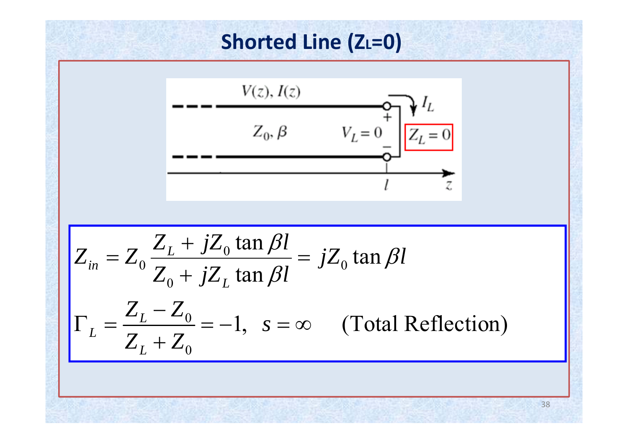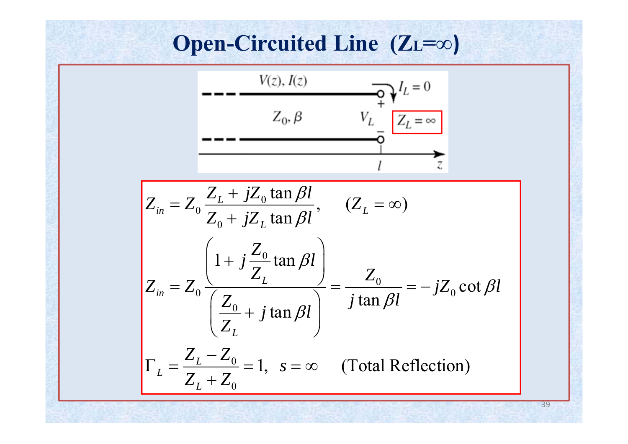#### **Open-Circuited Line (ZL =∞ )**

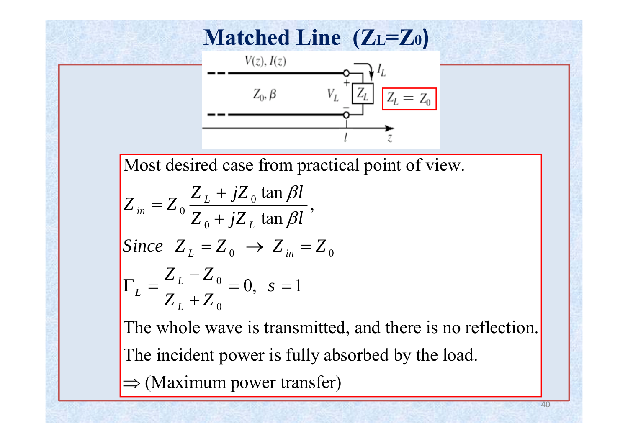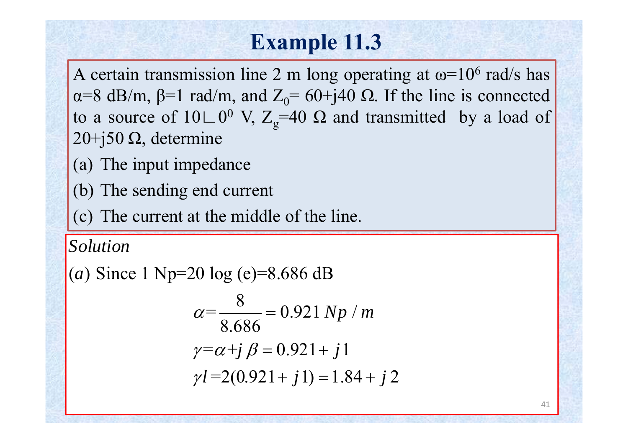# **Example 11.3**

A certain transmission line 2 <sup>m</sup> long operating at ω=10  $^6$  rad/s has α=8 dB/m,  $\beta$ =1 rad/m, and  $Z_0$ = 60+j40 Ω. If the line is connected to a source of  $10 \cup 0$ <sup>0</sup> V,  $Z_g$ =40  $\Omega$  and transmitted by a load of 20+j50 Ω, determine

(a) The input impedance

(b) The sending end current

(c) The current at the middle of the line.

*Solution*

(*a*) Since 1 Np=20 log (e)=8.686 dB

$$
\alpha = \frac{8}{8.686} = 0.921 \, Np / m
$$

$$
\gamma = \alpha + j \, \beta = 0.921 + j \, 1
$$

$$
\gamma l = 2(0.921 + j \, 1) = 1.84 + j \, 2
$$

41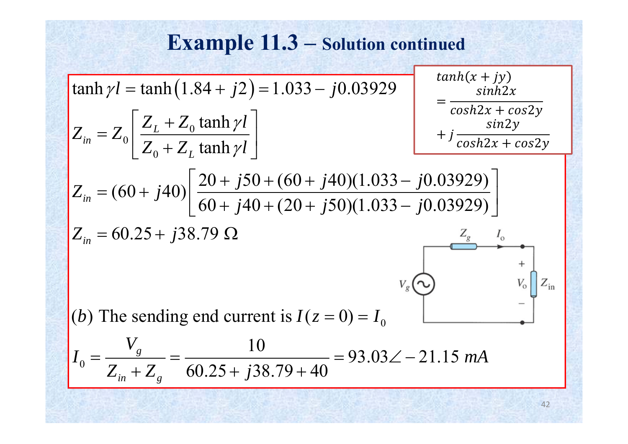**Example 11.3** – Solution continued  
\n
$$
\tanh \gamma l = \tanh(1.84 + j2) = 1.033 - j0.03929
$$
\n
$$
Z_{in} = Z_0 \left[ \frac{Z_L + Z_0 \tanh \gamma l}{Z_0 + Z_L \tanh \gamma l} \right]
$$
\n
$$
Z_{in} = (60 + j40) \left[ \frac{20 + j50 + (60 + j40)(1.033 - j0.03929)}{60 + j40 + (20 + j50)(1.033 - j0.03929)} \right]
$$
\n
$$
Z_{in} = 60.25 + j38.79 \Omega
$$
\n(b) The sending end current is  $I(z = 0) = I_0$ \n
$$
I_0 = \frac{V_g}{Z_{in} + Z_g} = \frac{10}{60.25 + j38.79 + 40} = 93.03\angle -21.15 \text{ mA}
$$

42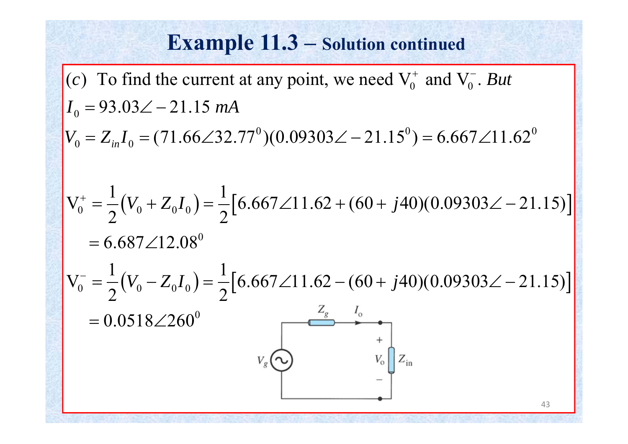#### **Example 11.3 – Solution continued**

(c) To find the current at any point, we need  $V_0^+$  and  $V_0^-$ . But  $I_0 = 93.03\angle -21.15$  mA  $V_0 = Z_{in}I_0 = (71.66\angle 32.77^\circ)(0.09303\angle -21.15^\circ) = 6.667\angle 11.62^\circ$  $+$   $\sim$  1 V  $\frac{1}{2}$ 

$$
V_0^+ = \frac{1}{2}(V_0 + Z_0 I_0) = \frac{1}{2}[6.667\angle 11.62 + (60 + j40)(0.09303\angle -21.15)]
$$
  
= 6.687\angle 12.08°  

$$
V_0^- = \frac{1}{2}(V_0 - Z_0 I_0) = \frac{1}{2}[6.667\angle 11.62 - (60 + j40)(0.09303\angle -21.15)]
$$
  
= 0.0518\angle 260°  

$$
V_g \underbrace{\bigodot}_{V_g} \underbrace{\bigodot}_{V_0} \underbrace{\bigodot}_{Z_{\text{in}}} + \bigodot_{V_0} Z_{\text{in}} \underbrace{\bigodot}_{Z_{\text{in}}} + \bigodot_{Z_{\text{in}}} + \bigodot_{Z_{\text{in}}} + \bigodot_{Z_{\text{in}}} + \bigodot_{Z_{\text{in}}} + \bigodot_{Z_{\text{in}}} + \bigodot_{Z_{\text{in}}} + \bigodot_{Z_{\text{in}}} + \bigodot_{Z_{\text{in}}} + \bigodot_{Z_{\text{in}}} + \bigodot_{Z_{\text{in}}} + \bigodot_{Z_{\text{in}}} + \bigodot_{Z_{\text{in}}} + \bigodot_{Z_{\text{in}}} + \bigodot_{Z_{\text{in}}} + \bigodot_{Z_{\text{in}}} + \bigodot_{Z_{\text{in}}} + \bigodot_{Z_{\text{in}}} + \bigodot_{Z_{\text{in}}} + \bigodot_{Z_{\text{in}}} + \bigodot_{Z_{\text{in}}} + \bigodot_{Z_{\text{in}}} + \bigodrod_{Z_{\text{in}}} + \bigodrod_{Z_{\text{in}}} + \bigodrod_{Z_{\text{in}}} + \bigodrod_{Z_{\text{in}}} + \bigodrod_{Z_{\text{in}}} + \bigodrod_{Z_{\text{in}}} + \bigodrod_{Z_{\text{in}}} + \bigodrod_{Z_{\text{in}}} + \bigodrod_{Z_{\text{in}}} + \bigodrod_{Z_{\text{in}}} + \bigodrod_{Z_{\text{in}}} + \bigodrod_{Z_{\text{in}}} + \bigodrod_{Z_{\text{in}}} + \bigodrod_{Z_{\text{in}}} + \bigodrod_{Z_{\text{in}}} + \bigodrod_{Z_{\text{in}}} + \bigodrod_{Z_{\text{in
$$